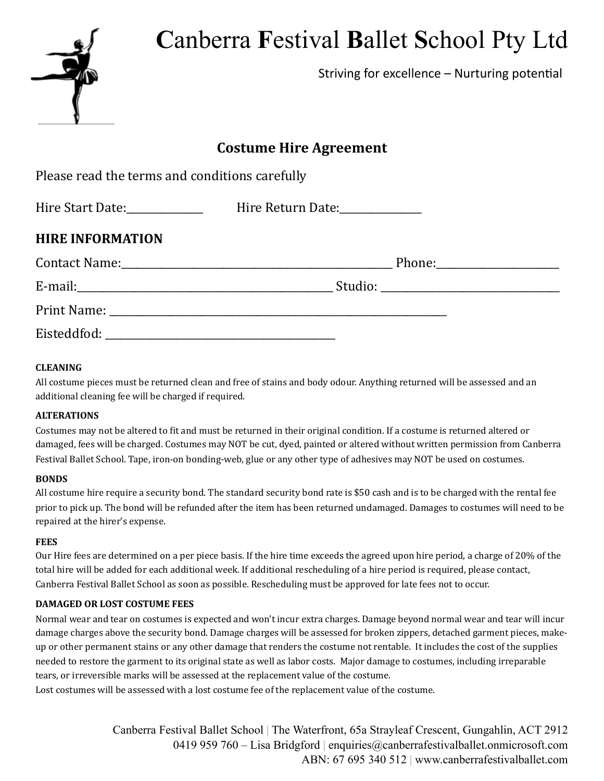# **C**anberra **F**estival **B**allet **S**chool Pty Ltd



Striving for excellence  $-$  Nurturing potential

# **Costume Hire Agreement**

| Please read the terms and conditions carefully |                                                                  |  |
|------------------------------------------------|------------------------------------------------------------------|--|
|                                                | Hire Start Date:_______________  Hire Return Date:______________ |  |
| <b>HIRE INFORMATION</b>                        |                                                                  |  |
|                                                |                                                                  |  |
|                                                |                                                                  |  |
|                                                |                                                                  |  |
|                                                |                                                                  |  |

# **CLEANING**

All costume pieces must be returned clean and free of stains and body odour. Anything returned will be assessed and an additional cleaning fee will be charged if required.

## **ALTERATIONS**

Costumes may not be altered to fit and must be returned in their original condition. If a costume is returned altered or damaged, fees will be charged. Costumes may NOT be cut, dyed, painted or altered without written permission from Canberra Festival Ballet School. Tape, iron-on bonding-web, glue or any other type of adhesives may NOT be used on costumes.

## **BONDS**

All costume hire require a security bond. The standard security bond rate is \$50 cash and is to be charged with the rental fee prior to pick up. The bond will be refunded after the item has been returned undamaged. Damages to costumes will need to be repaired at the hirer's expense.

#### **FEES**

Our Hire fees are determined on a per piece basis. If the hire time exceeds the agreed upon hire period, a charge of 20% of the total hire will be added for each additional week. If additional rescheduling of a hire period is required, please contact, Canberra Festival Ballet School as soon as possible. Rescheduling must be approved for late fees not to occur.

## **DAMAGED OR LOST COSTUME FEES**

Normal wear and tear on costumes is expected and won't incur extra charges. Damage beyond normal wear and tear will incur damage charges above the security bond. Damage charges will be assessed for broken zippers, detached garment pieces, makeup or other permanent stains or any other damage that renders the costume not rentable. It includes the cost of the supplies needed to restore the garment to its original state as well as labor costs. Major damage to costumes, including irreparable tears, or irreversible marks will be assessed at the replacement value of the costume.

Lost costumes will be assessed with a lost costume fee of the replacement value of the costume.

Canberra Festival Ballet School | The Waterfront, 65a Strayleaf Crescent, Gungahlin, ACT 2912 0419 959 760 – Lisa Bridgford | enquiries@canberrafestivalballet.onmicrosoft.com ABN: 67 695 340 512 | www.canberrafestivalballet.com